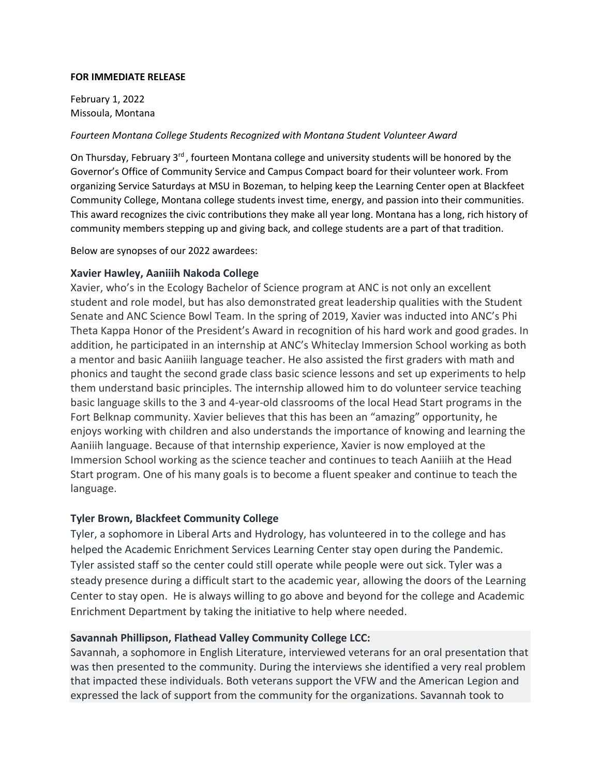#### **FOR IMMEDIATE RELEASE**

February 1, 2022 Missoula, Montana

#### *Fourteen Montana College Students Recognized with Montana Student Volunteer Award*

On Thursday, February 3<sup>rd</sup>, fourteen Montana college and university students will be honored by the Governor's Office of Community Service and Campus Compact board for their volunteer work. From organizing Service Saturdays at MSU in Bozeman, to helping keep the Learning Center open at Blackfeet Community College, Montana college students invest time, energy, and passion into their communities. This award recognizes the civic contributions they make all year long. Montana has a long, rich history of community members stepping up and giving back, and college students are a part of that tradition.

Below are synopses of our 2022 awardees:

#### **Xavier Hawley, Aaniiih Nakoda College**

Xavier, who's in the Ecology Bachelor of Science program at ANC is not only an excellent student and role model, but has also demonstrated great leadership qualities with the Student Senate and ANC Science Bowl Team. In the spring of 2019, Xavier was inducted into ANC's Phi Theta Kappa Honor of the President's Award in recognition of his hard work and good grades. In addition, he participated in an internship at ANC's Whiteclay Immersion School working as both a mentor and basic Aaniiih language teacher. He also assisted the first graders with math and phonics and taught the second grade class basic science lessons and set up experiments to help them understand basic principles. The internship allowed him to do volunteer service teaching basic language skills to the 3 and 4-year-old classrooms of the local Head Start programs in the Fort Belknap community. Xavier believes that this has been an "amazing" opportunity, he enjoys working with children and also understands the importance of knowing and learning the Aaniiih language. Because of that internship experience, Xavier is now employed at the Immersion School working as the science teacher and continues to teach Aaniiih at the Head Start program. One of his many goals is to become a fluent speaker and continue to teach the language.

#### **Tyler Brown, Blackfeet Community College**

Tyler, a sophomore in Liberal Arts and Hydrology, has volunteered in to the college and has helped the Academic Enrichment Services Learning Center stay open during the Pandemic. Tyler assisted staff so the center could still operate while people were out sick. Tyler was a steady presence during a difficult start to the academic year, allowing the doors of the Learning Center to stay open. He is always willing to go above and beyond for the college and Academic Enrichment Department by taking the initiative to help where needed.

#### **Savannah Phillipson, Flathead Valley Community College LCC:**

Savannah, a sophomore in English Literature, interviewed veterans for an oral presentation that was then presented to the community. During the interviews she identified a very real problem that impacted these individuals. Both veterans support the VFW and the American Legion and expressed the lack of support from the community for the organizations. Savannah took to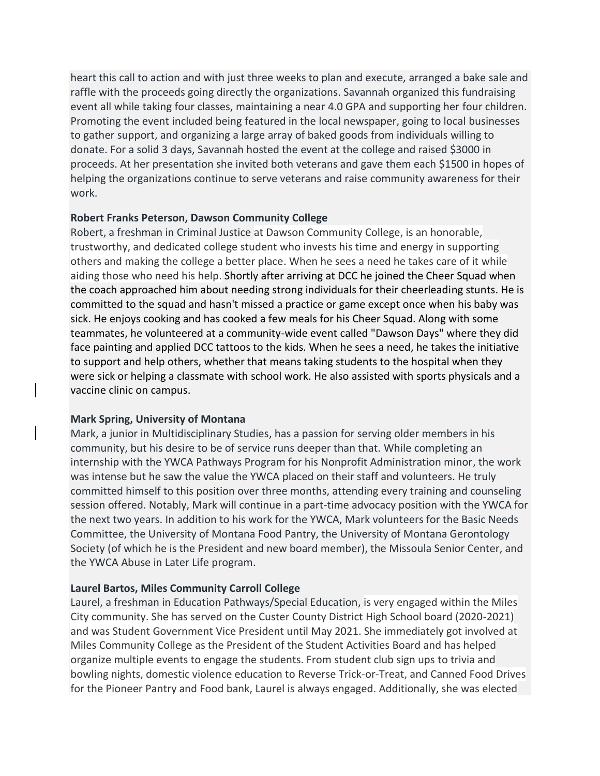heart this call to action and with just three weeks to plan and execute, arranged a bake sale and raffle with the proceeds going directly the organizations. Savannah organized this fundraising event all while taking four classes, maintaining a near 4.0 GPA and supporting her four children. Promoting the event included being featured in the local newspaper, going to local businesses to gather support, and organizing a large array of baked goods from individuals willing to donate. For a solid 3 days, Savannah hosted the event at the college and raised \$3000 in proceeds. At her presentation she invited both veterans and gave them each \$1500 in hopes of helping the organizations continue to serve veterans and raise community awareness for their work.

## **Robert Franks Peterson, Dawson Community College**

Robert, a freshman in Criminal Justice at Dawson Community College, is an honorable, trustworthy, and dedicated college student who invests his time and energy in supporting others and making the college a better place. When he sees a need he takes care of it while aiding those who need his help. Shortly after arriving at DCC he joined the Cheer Squad when the coach approached him about needing strong individuals for their cheerleading stunts. He is committed to the squad and hasn't missed a practice or game except once when his baby was sick. He enjoys cooking and has cooked a few meals for his Cheer Squad. Along with some teammates, he volunteered at a community-wide event called "Dawson Days" where they did face painting and applied DCC tattoos to the kids. When he sees a need, he takes the initiative to support and help others, whether that means taking students to the hospital when they were sick or helping a classmate with school work. He also assisted with sports physicals and a vaccine clinic on campus.

#### **Mark Spring, University of Montana**

Mark, a junior in Multidisciplinary Studies, has a passion for serving older members in his community, but his desire to be of service runs deeper than that. While completing an internship with the YWCA Pathways Program for his Nonprofit Administration minor, the work was intense but he saw the value the YWCA placed on their staff and volunteers. He truly committed himself to this position over three months, attending every training and counseling session offered. Notably, Mark will continue in a part-time advocacy position with the YWCA for the next two years. In addition to his work for the YWCA, Mark volunteers for the Basic Needs Committee, the University of Montana Food Pantry, the University of Montana Gerontology Society (of which he is the President and new board member), the Missoula Senior Center, and the YWCA Abuse in Later Life program.

# **Laurel Bartos, Miles Community Carroll College**

Laurel, a freshman in Education Pathways/Special Education, is very engaged within the Miles City community. She has served on the Custer County District High School board (2020-2021) and was Student Government Vice President until May 2021. She immediately got involved at Miles Community College as the President of the Student Activities Board and has helped organize multiple events to engage the students. From student club sign ups to trivia and bowling nights, domestic violence education to Reverse Trick-or-Treat, and Canned Food Drives for the Pioneer Pantry and Food bank, Laurel is always engaged. Additionally, she was elected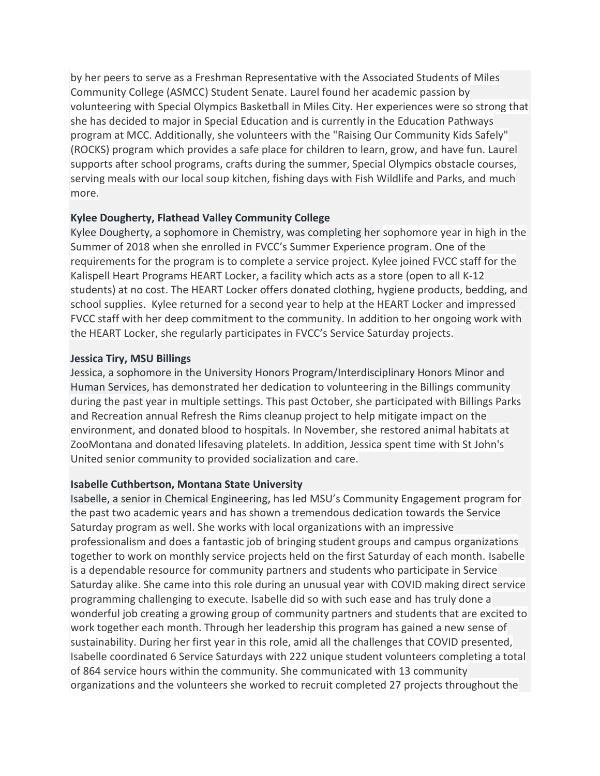by her peers to serve as a Freshman Representative with the Associated Students of Miles Community College (ASMCC) Student Senate. Laurel found her academic passion by volunteering with Special Olympics Basketball in Miles City. Her experiences were so strong that she has decided to major in Special Education and is currently in the Education Pathways program at MCC. Additionally, she volunteers with the "Raising Our Community Kids Safely" (ROCKS) program which provides a safe place for children to learn, grow, and have fun. Laurel supports after school programs, crafts during the summer, Special Olympics obstacle courses, serving meals with our local soup kitchen, fishing days with Fish Wildlife and Parks, and much more.

# **Kylee Dougherty, Flathead Valley Community College**

Kylee Dougherty, a sophomore in Chemistry, was completing her sophomore year in high in the Summer of 2018 when she enrolled in FVCC's Summer Experience program. One of the requirements for the program is to complete a service project. Kylee joined FVCC staff for the Kalispell Heart Programs HEART Locker, a facility which acts as a store (open to all K-12 students) at no cost. The HEART Locker offers donated clothing, hygiene products, bedding, and school supplies. Kylee returned for a second year to help at the HEART Locker and impressed FVCC staff with her deep commitment to the community. In addition to her ongoing work with the HEART Locker, she regularly participates in FVCC's Service Saturday projects.

## **Jessica Tiry, MSU Billings**

Jessica, a sophomore in the University Honors Program/Interdisciplinary Honors Minor and Human Services, has demonstrated her dedication to volunteering in the Billings community during the past year in multiple settings. This past October, she participated with Billings Parks and Recreation annual Refresh the Rims cleanup project to help mitigate impact on the environment, and donated blood to hospitals. In November, she restored animal habitats at ZooMontana and donated lifesaving platelets. In addition, Jessica spent time with St John's United senior community to provided socialization and care.

# **Isabelle Cuthbertson, Montana State University**

Isabelle, a senior in Chemical Engineering, has led MSU's Community Engagement program for the past two academic years and has shown a tremendous dedication towards the Service Saturday program as well. She works with local organizations with an impressive professionalism and does a fantastic job of bringing student groups and campus organizations together to work on monthly service projects held on the first Saturday of each month. Isabelle is a dependable resource for community partners and students who participate in Service Saturday alike. She came into this role during an unusual year with COVID making direct service programming challenging to execute. Isabelle did so with such ease and has truly done a wonderful job creating a growing group of community partners and students that are excited to work together each month. Through her leadership this program has gained a new sense of sustainability. During her first year in this role, amid all the challenges that COVID presented, Isabelle coordinated 6 Service Saturdays with 222 unique student volunteers completing a total of 864 service hours within the community. She communicated with 13 community organizations and the volunteers she worked to recruit completed 27 projects throughout the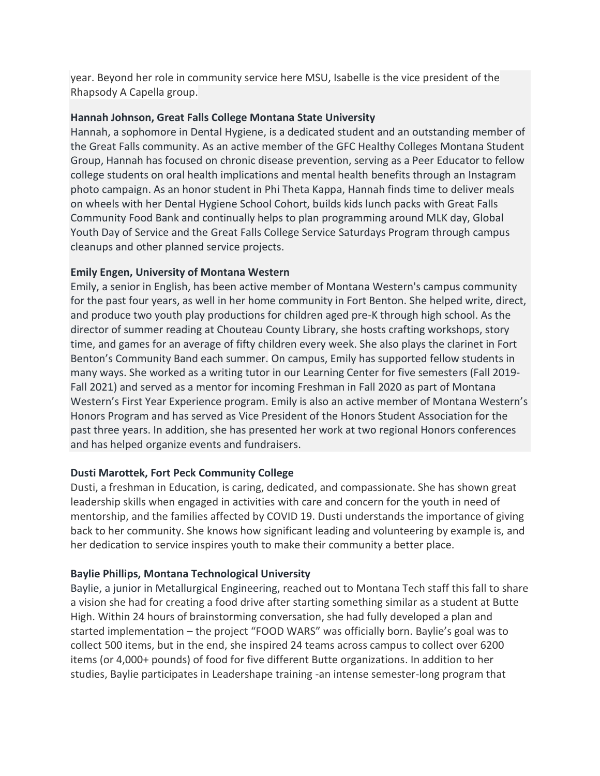year. Beyond her role in community service here MSU, Isabelle is the vice president of the Rhapsody A Capella group.

## **Hannah Johnson, Great Falls College Montana State University**

Hannah, a sophomore in Dental Hygiene, is a dedicated student and an outstanding member of the Great Falls community. As an active member of the GFC Healthy Colleges Montana Student Group, Hannah has focused on chronic disease prevention, serving as a Peer Educator to fellow college students on oral health implications and mental health benefits through an Instagram photo campaign. As an honor student in Phi Theta Kappa, Hannah finds time to deliver meals on wheels with her Dental Hygiene School Cohort, builds kids lunch packs with Great Falls Community Food Bank and continually helps to plan programming around MLK day, Global Youth Day of Service and the Great Falls College Service Saturdays Program through campus cleanups and other planned service projects.

## **Emily Engen, University of Montana Western**

Emily, a senior in English, has been active member of Montana Western's campus community for the past four years, as well in her home community in Fort Benton. She helped write, direct, and produce two youth play productions for children aged pre-K through high school. As the director of summer reading at Chouteau County Library, she hosts crafting workshops, story time, and games for an average of fifty children every week. She also plays the clarinet in Fort Benton's Community Band each summer. On campus, Emily has supported fellow students in many ways. She worked as a writing tutor in our Learning Center for five semesters (Fall 2019- Fall 2021) and served as a mentor for incoming Freshman in Fall 2020 as part of Montana Western's First Year Experience program. Emily is also an active member of Montana Western's Honors Program and has served as Vice President of the Honors Student Association for the past three years. In addition, she has presented her work at two regional Honors conferences and has helped organize events and fundraisers.

# **Dusti Marottek, Fort Peck Community College**

Dusti, a freshman in Education, is caring, dedicated, and compassionate. She has shown great leadership skills when engaged in activities with care and concern for the youth in need of mentorship, and the families affected by COVID 19. Dusti understands the importance of giving back to her community. She knows how significant leading and volunteering by example is, and her dedication to service inspires youth to make their community a better place.

# **Baylie Phillips, Montana Technological University**

Baylie, a junior in Metallurgical Engineering, reached out to Montana Tech staff this fall to share a vision she had for creating a food drive after starting something similar as a student at Butte High. Within 24 hours of brainstorming conversation, she had fully developed a plan and started implementation – the project "FOOD WARS" was officially born. Baylie's goal was to collect 500 items, but in the end, she inspired 24 teams across campus to collect over 6200 items (or 4,000+ pounds) of food for five different Butte organizations. In addition to her studies, Baylie participates in Leadershape training -an intense semester-long program that